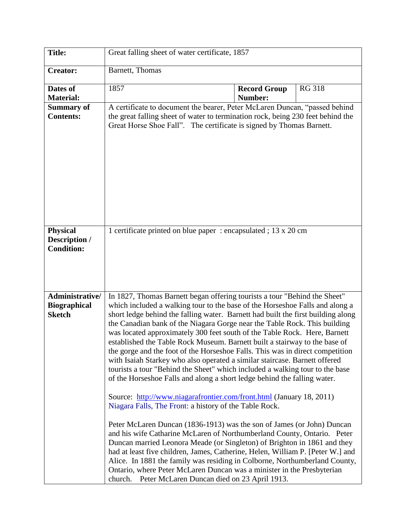| <b>Title:</b>                                           | Great falling sheet of water certificate, 1857                                                                                                                                                                                                                                                                                                                                                                                                                                                                                                                                                                                                                                                                                                                                                                                                                                                                                                                                                                                                                                                                                                                                                                                                                                                                                                                                                                                                                                          |                                |               |
|---------------------------------------------------------|-----------------------------------------------------------------------------------------------------------------------------------------------------------------------------------------------------------------------------------------------------------------------------------------------------------------------------------------------------------------------------------------------------------------------------------------------------------------------------------------------------------------------------------------------------------------------------------------------------------------------------------------------------------------------------------------------------------------------------------------------------------------------------------------------------------------------------------------------------------------------------------------------------------------------------------------------------------------------------------------------------------------------------------------------------------------------------------------------------------------------------------------------------------------------------------------------------------------------------------------------------------------------------------------------------------------------------------------------------------------------------------------------------------------------------------------------------------------------------------------|--------------------------------|---------------|
| <b>Creator:</b>                                         | Barnett, Thomas                                                                                                                                                                                                                                                                                                                                                                                                                                                                                                                                                                                                                                                                                                                                                                                                                                                                                                                                                                                                                                                                                                                                                                                                                                                                                                                                                                                                                                                                         |                                |               |
| Dates of<br><b>Material:</b>                            | 1857                                                                                                                                                                                                                                                                                                                                                                                                                                                                                                                                                                                                                                                                                                                                                                                                                                                                                                                                                                                                                                                                                                                                                                                                                                                                                                                                                                                                                                                                                    | <b>Record Group</b><br>Number: | <b>RG 318</b> |
| <b>Summary of</b><br><b>Contents:</b>                   | A certificate to document the bearer, Peter McLaren Duncan, "passed behind<br>the great falling sheet of water to termination rock, being 230 feet behind the<br>Great Horse Shoe Fall". The certificate is signed by Thomas Barnett.                                                                                                                                                                                                                                                                                                                                                                                                                                                                                                                                                                                                                                                                                                                                                                                                                                                                                                                                                                                                                                                                                                                                                                                                                                                   |                                |               |
| <b>Physical</b><br>Description /<br><b>Condition:</b>   | 1 certificate printed on blue paper: encapsulated; 13 x 20 cm                                                                                                                                                                                                                                                                                                                                                                                                                                                                                                                                                                                                                                                                                                                                                                                                                                                                                                                                                                                                                                                                                                                                                                                                                                                                                                                                                                                                                           |                                |               |
| Administrative/<br><b>Biographical</b><br><b>Sketch</b> | In 1827, Thomas Barnett began offering tourists a tour "Behind the Sheet"<br>which included a walking tour to the base of the Horseshoe Falls and along a<br>short ledge behind the falling water. Barnett had built the first building along<br>the Canadian bank of the Niagara Gorge near the Table Rock. This building<br>was located approximately 300 feet south of the Table Rock. Here, Barnett<br>established the Table Rock Museum. Barnett built a stairway to the base of<br>the gorge and the foot of the Horseshoe Falls. This was in direct competition<br>with Isaiah Starkey who also operated a similar staircase. Barnett offered<br>tourists a tour "Behind the Sheet" which included a walking tour to the base<br>of the Horseshoe Falls and along a short ledge behind the falling water.<br>Source: http://www.niagarafrontier.com/front.html (January 18, 2011)<br>Niagara Falls, The Front: a history of the Table Rock.<br>Peter McLaren Duncan (1836-1913) was the son of James (or John) Duncan<br>and his wife Catharine McLaren of Northumberland County, Ontario. Peter<br>Duncan married Leonora Meade (or Singleton) of Brighton in 1861 and they<br>had at least five children, James, Catherine, Helen, William P. [Peter W.] and<br>Alice. In 1881 the family was residing in Colborne, Northumberland County,<br>Ontario, where Peter McLaren Duncan was a minister in the Presbyterian<br>Peter McLaren Duncan died on 23 April 1913.<br>church. |                                |               |